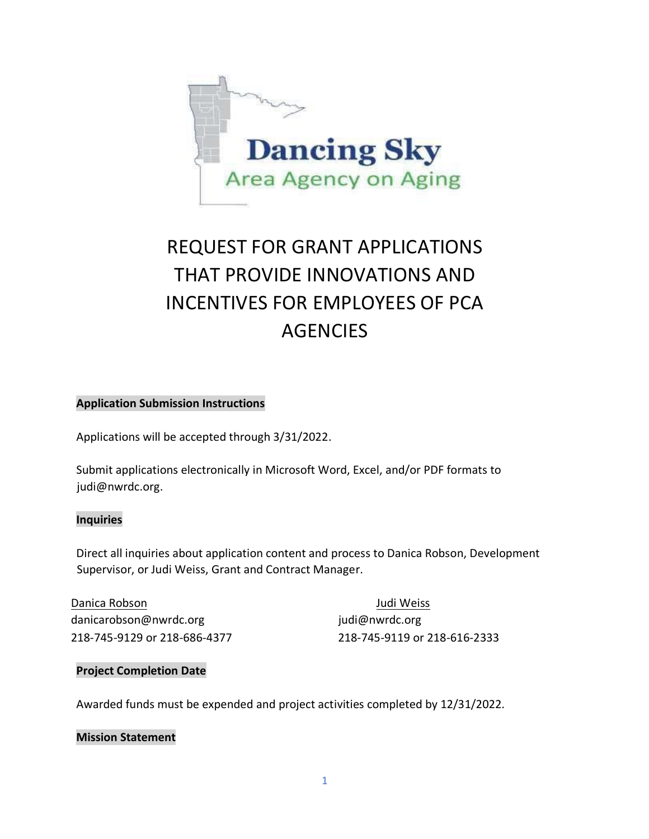

# REQUEST FOR GRANT APPLICATIONS THAT PROVIDE INNOVATIONS AND INCENTIVES FOR EMPLOYEES OF PCA **AGENCIES**

#### **Application Submission Instructions**

Applications will be accepted through 3/31/2022.

Submit applications electronically in Microsoft Word, Excel, and/or PDF formats to judi@nwrdc.org.

#### **Inquiries**

Direct all inquiries about application content and process to Danica Robson, Development Supervisor, or Judi Weiss, Grant and Contract Manager.

Danica Robson Judi Weiss danicarobson@nwrdc.org indi@nwrdc.org indi@nwrdc.org

218-745-9129 or 218-686-4377 218-745-9119 or 218-616-2333

#### **Project Completion Date**

Awarded funds must be expended and project activities completed by 12/31/2022.

#### **Mission Statement**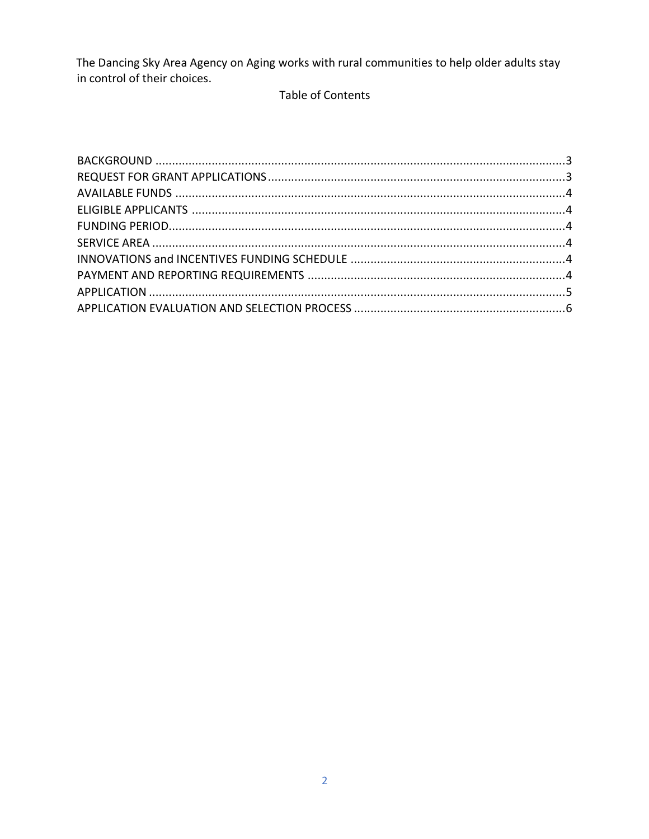The Dancing Sky Area Agency on Aging works with rural communities to help older adults stay in control of their choices.

## Table of Contents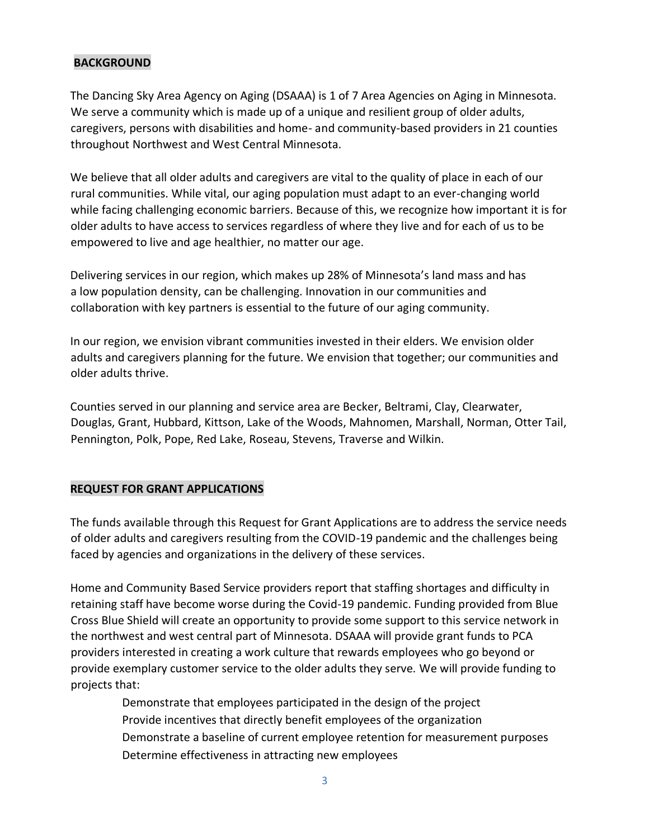### <span id="page-2-0"></span>**BACKGROUND**

The Dancing Sky Area Agency on Aging (DSAAA) is 1 of 7 Area Agencies on Aging in Minnesota. We serve a community which is made up of a unique and resilient group of older adults, caregivers, persons with disabilities and home- and community-based providers in 21 counties throughout Northwest and West Central Minnesota.

We believe that all older adults and caregivers are vital to the quality of place in each of our rural communities. While vital, our aging population must adapt to an ever-changing world while facing challenging economic barriers. Because of this, we recognize how important it is for older adults to have access to services regardless of where they live and for each of us to be empowered to live and age healthier, no matter our age.

Delivering services in our region, which makes up 28% of Minnesota's land mass and has a low population density, can be challenging. Innovation in our communities and collaboration with key partners is essential to the future of our aging community.

In our region, we envision vibrant communities invested in their elders. We envision older adults and caregivers planning for the future. We envision that together; our communities and older adults thrive.

Counties served in our planning and service area are Becker, Beltrami, Clay, Clearwater, Douglas, Grant, Hubbard, Kittson, Lake of the Woods, Mahnomen, Marshall, Norman, Otter Tail, Pennington, Polk, Pope, Red Lake, Roseau, Stevens, Traverse and Wilkin.

## <span id="page-2-1"></span>**REQUEST FOR GRANT APPLICATIONS**

The funds available through this Request for Grant Applications are to address the service needs of older adults and caregivers resulting from the COVID-19 pandemic and the challenges being faced by agencies and organizations in the delivery of these services.

Home and Community Based Service providers report that staffing shortages and difficulty in retaining staff have become worse during the Covid-19 pandemic. Funding provided from Blue Cross Blue Shield will create an opportunity to provide some support to this service network in the northwest and west central part of Minnesota. DSAAA will provide grant funds to PCA providers interested in creating a work culture that rewards employees who go beyond or provide exemplary customer service to the older adults they serve. We will provide funding to projects that:

> Demonstrate that employees participated in the design of the project Provide incentives that directly benefit employees of the organization Demonstrate a baseline of current employee retention for measurement purposes Determine effectiveness in attracting new employees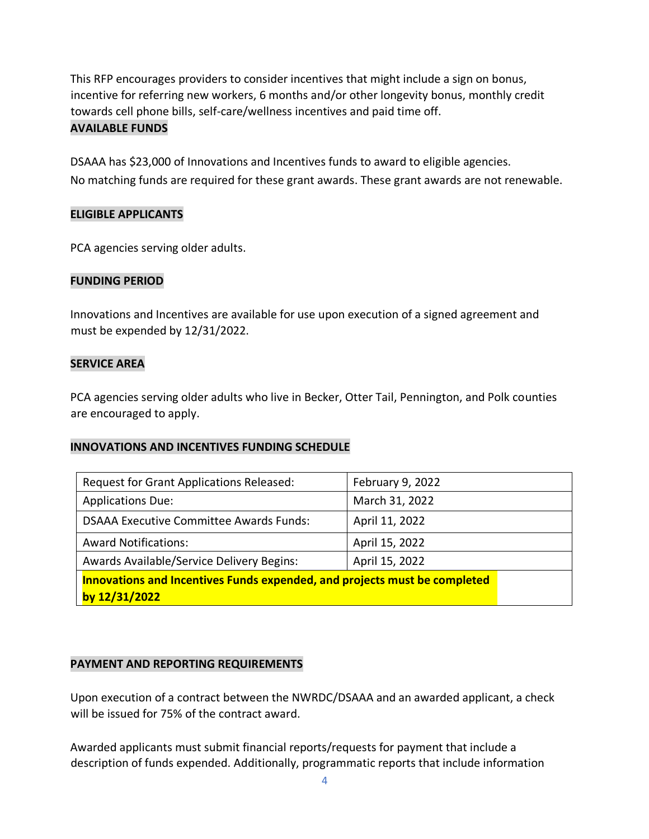This RFP encourages providers to consider incentives that might include a sign on bonus, incentive for referring new workers, 6 months and/or other longevity bonus, monthly credit towards cell phone bills, self-care/wellness incentives and paid time off. **AVAILABLE FUNDS**

<span id="page-3-0"></span>DSAAA has \$23,000 of Innovations and Incentives funds to award to eligible agencies. No matching funds are required for these grant awards. These grant awards are not renewable.

#### <span id="page-3-1"></span>**ELIGIBLE APPLICANTS**

PCA agencies serving older adults.

### <span id="page-3-2"></span>**FUNDING PERIOD**

Innovations and Incentives are available for use upon execution of a signed agreement and must be expended by 12/31/2022.

#### <span id="page-3-3"></span>**SERVICE AREA**

PCA agencies serving older adults who live in Becker, Otter Tail, Pennington, and Polk counties are encouraged to apply.

#### <span id="page-3-4"></span>**INNOVATIONS AND INCENTIVES FUNDING SCHEDULE**

| Request for Grant Applications Released:                                                   | February 9, 2022 |  |
|--------------------------------------------------------------------------------------------|------------------|--|
| <b>Applications Due:</b>                                                                   | March 31, 2022   |  |
| <b>DSAAA Executive Committee Awards Funds:</b>                                             | April 11, 2022   |  |
| <b>Award Notifications:</b>                                                                | April 15, 2022   |  |
| Awards Available/Service Delivery Begins:                                                  | April 15, 2022   |  |
| Innovations and Incentives Funds expended, and projects must be completed<br>by 12/31/2022 |                  |  |

#### <span id="page-3-5"></span>**PAYMENT AND REPORTING REQUIREMENTS**

Upon execution of a contract between the NWRDC/DSAAA and an awarded applicant, a check will be issued for 75% of the contract award.

Awarded applicants must submit financial reports/requests for payment that include a description of funds expended. Additionally, programmatic reports that include information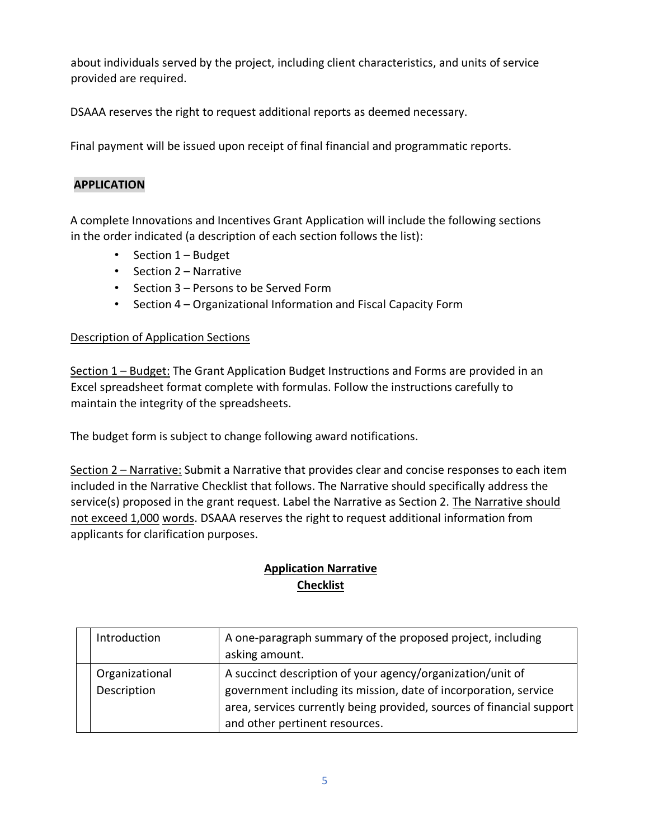about individuals served by the project, including client characteristics, and units of service provided are required.

DSAAA reserves the right to request additional reports as deemed necessary.

Final payment will be issued upon receipt of final financial and programmatic reports.

## <span id="page-4-0"></span>**APPLICATION**

A complete Innovations and Incentives Grant Application will include the following sections in the order indicated (a description of each section follows the list):

- Section 1 Budget
- Section 2 Narrative
- Section 3 Persons to be Served Form
- Section 4 Organizational Information and Fiscal Capacity Form

### Description of Application Sections

Section 1 – Budget: The Grant Application Budget Instructions and Forms are provided in an Excel spreadsheet format complete with formulas. Follow the instructions carefully to maintain the integrity of the spreadsheets.

The budget form is subject to change following award notifications.

Section 2 – Narrative: Submit a Narrative that provides clear and concise responses to each item included in the Narrative Checklist that follows. The Narrative should specifically address the service(s) proposed in the grant request. Label the Narrative as Section 2. The Narrative should not exceed 1,000 words. DSAAA reserves the right to request additional information from applicants for clarification purposes.

# **Application Narrative Checklist**

| Introduction                  | A one-paragraph summary of the proposed project, including<br>asking amount.                                                                                                                                                              |
|-------------------------------|-------------------------------------------------------------------------------------------------------------------------------------------------------------------------------------------------------------------------------------------|
| Organizational<br>Description | A succinct description of your agency/organization/unit of<br>government including its mission, date of incorporation, service<br>area, services currently being provided, sources of financial support<br>and other pertinent resources. |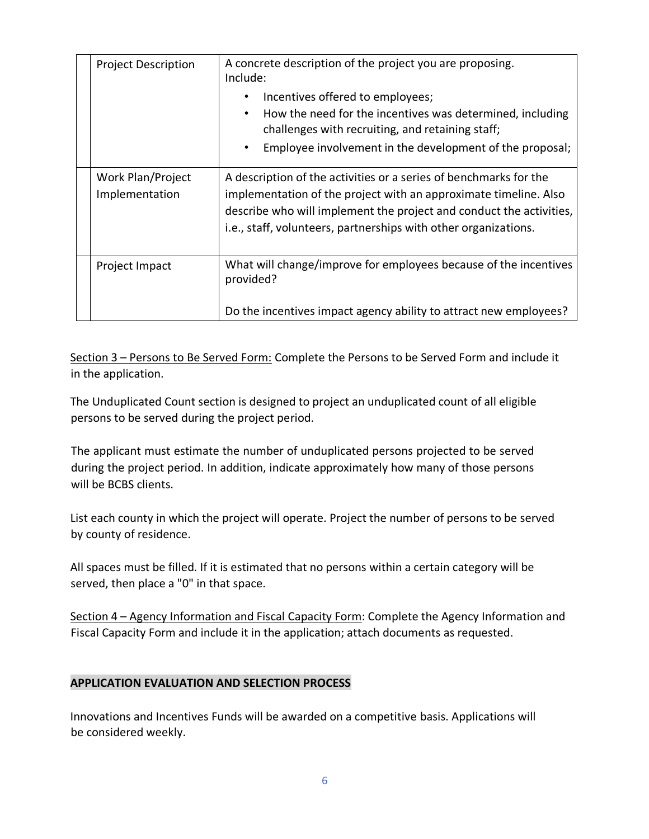| <b>Project Description</b>          | A concrete description of the project you are proposing.<br>Include:                                                                                                                                                                                                            |  |
|-------------------------------------|---------------------------------------------------------------------------------------------------------------------------------------------------------------------------------------------------------------------------------------------------------------------------------|--|
|                                     | Incentives offered to employees;<br>$\bullet$<br>How the need for the incentives was determined, including<br>$\bullet$                                                                                                                                                         |  |
|                                     | challenges with recruiting, and retaining staff;                                                                                                                                                                                                                                |  |
|                                     | Employee involvement in the development of the proposal;<br>$\bullet$                                                                                                                                                                                                           |  |
| Work Plan/Project<br>Implementation | A description of the activities or a series of benchmarks for the<br>implementation of the project with an approximate timeline. Also<br>describe who will implement the project and conduct the activities,<br>i.e., staff, volunteers, partnerships with other organizations. |  |
| Project Impact                      | What will change/improve for employees because of the incentives<br>provided?                                                                                                                                                                                                   |  |
|                                     | Do the incentives impact agency ability to attract new employees?                                                                                                                                                                                                               |  |

Section 3 – Persons to Be Served Form: Complete the Persons to be Served Form and include it in the application.

The Unduplicated Count section is designed to project an unduplicated count of all eligible persons to be served during the project period.

The applicant must estimate the number of unduplicated persons projected to be served during the project period. In addition, indicate approximately how many of those persons will be BCBS clients.

List each county in which the project will operate. Project the number of persons to be served by county of residence.

All spaces must be filled. If it is estimated that no persons within a certain category will be served, then place a "0" in that space.

Section 4 – Agency Information and Fiscal Capacity Form: Complete the Agency Information and Fiscal Capacity Form and include it in the application; attach documents as requested.

## <span id="page-5-0"></span>**APPLICATION EVALUATION AND SELECTION PROCESS**

Innovations and Incentives Funds will be awarded on a competitive basis. Applications will be considered weekly.